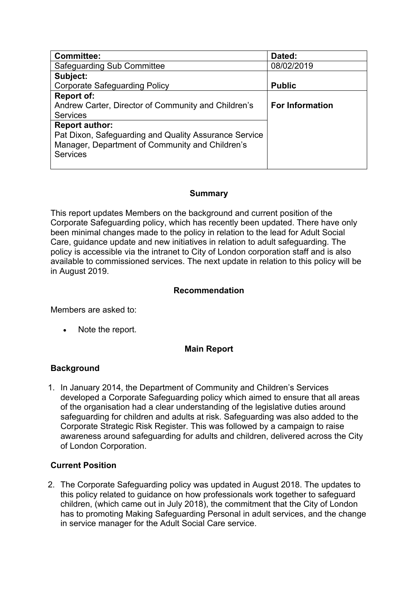| <b>Committee:</b>                                     | Dated:                 |
|-------------------------------------------------------|------------------------|
| Safeguarding Sub Committee                            | 08/02/2019             |
| Subject:                                              |                        |
| <b>Corporate Safeguarding Policy</b>                  | <b>Public</b>          |
| <b>Report of:</b>                                     |                        |
| Andrew Carter, Director of Community and Children's   | <b>For Information</b> |
| <b>Services</b>                                       |                        |
| <b>Report author:</b>                                 |                        |
| Pat Dixon, Safeguarding and Quality Assurance Service |                        |
| Manager, Department of Community and Children's       |                        |
| <b>Services</b>                                       |                        |
|                                                       |                        |

## **Summary**

This report updates Members on the background and current position of the Corporate Safeguarding policy, which has recently been updated. There have only been minimal changes made to the policy in relation to the lead for Adult Social Care, guidance update and new initiatives in relation to adult safeguarding. The policy is accessible via the intranet to City of London corporation staff and is also available to commissioned services. The next update in relation to this policy will be in August 2019.

## **Recommendation**

Members are asked to:

Note the report.

# **Main Report**

## **Background**

1. In January 2014, the Department of Community and Children's Services developed a Corporate Safeguarding policy which aimed to ensure that all areas of the organisation had a clear understanding of the legislative duties around safeguarding for children and adults at risk. Safeguarding was also added to the Corporate Strategic Risk Register. This was followed by a campaign to raise awareness around safeguarding for adults and children, delivered across the City of London Corporation.

# **Current Position**

2. The Corporate Safeguarding policy was updated in August 2018. The updates to this policy related to guidance on how professionals work together to safeguard children, (which came out in July 2018), the commitment that the City of London has to promoting Making Safeguarding Personal in adult services, and the change in service manager for the Adult Social Care service.